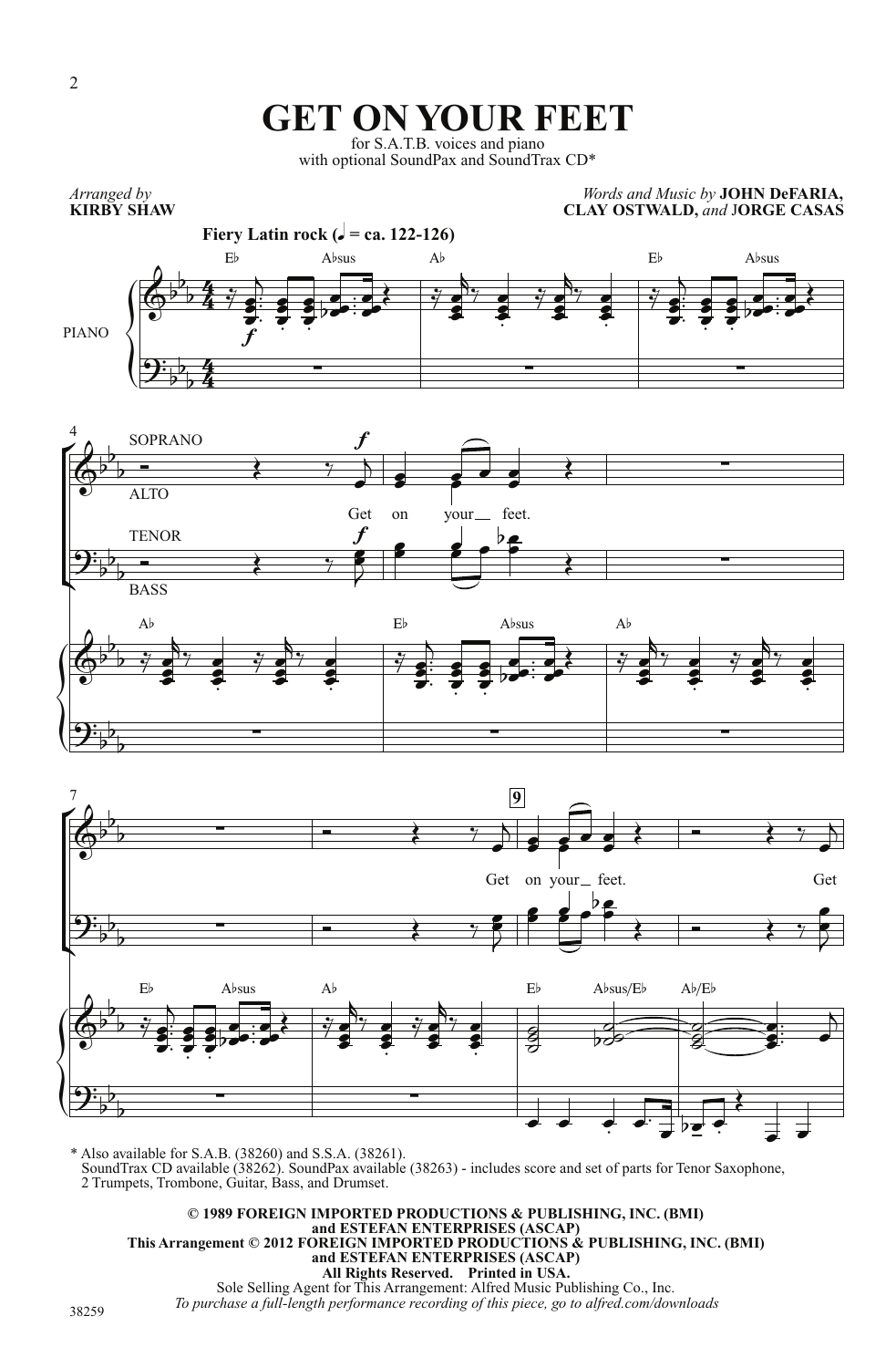## **GET ON YOUR FEET**

for S.A.T.B. voices and piano with optional SoundPax and SoundTrax CD\*

 $\left\{\begin{matrix} 1 \\ 0 \\ 0 \end{matrix}\right\}$ .<br>آ Ľ  $\left\{\begin{matrix} 1 \\ 0 \\ 0 \end{matrix}\right\}$  $\acute{\mathsf{F}}$ **Fiery Latin rock (** $\sqrt{ }$  **= ca. 122-126)** *Arranged by* **KIRBY SHAW CLAY OSTWALD,** *and* J**ORGE CASAS** PIANO 4 7 **9** 4  $\frac{4}{4}$  $rac{4}{7}$  $\frac{4}{4}$  $\overline{\mathbb{Q}^{\flat}}$  $\flat$  $\overline{b}$  $E^{\flat}$  A $^{\flat}$ sus A $^{\flat}$  A $^{\flat}$  E $^{\flat}$  A $^{\flat}$ sus A $^{\flat}$ <u>ີງ:</u>  $\overline{b}$  $\overline{\mathbf{b}}$  $\frac{4}{24}$  f  $\overline{\mathbb{Q}^{\flat}}$  $\frac{1}{2}$  $\overline{b}$ SOPRANO ALTO Get f on your feet.  $\equiv$ <u>ี่ ș:</u>  $\overline{\mathbf{b}}$  $\overline{p}$  $\overline{b}$ **TENOR BASS** f =  $\overline{\mathbb{Q}^{\flat}}$  $\mathbf{b}$  $\overline{b}$  $A$ b Eb  $A$ bsus  $A$ b <u>ี่ ș:</u>  $\overline{b}$  $\overline{b}$  $\overline{\phantom{a}}$  $\overline{\mathbb{Q}^{\flat}}$  $\mathbf{b}$  $\overline{\phantom{a}}$ Get on your feet. Get  $\frac{1}{7}$ ă  $\overline{\bullet}$  $\overline{\bullet}$  $\frac{1}{\cdot}$  $\frac{1}{1}$  $\frac{1}{2}$  $\overline{a}$ Ĭ  $\overline{\bullet}$  $\overline{\bullet}$ Ŧ  $\overline{\bullet}$  $\overline{\bullet}$  $\frac{1}{2}$  $\overline{\phantom{0}}$  $\overline{\phantom{0}}$  $\frac{1}{2}$  $\frac{1}{2}$  $\frac{1}{2}$  $\bullet$  $\overline{\bullet}$  $\bar{\bullet}$  $\frac{1}{2}$  $\bullet$  $\frac{1}{2}$ þ  $\frac{1}{\sqrt{2}}$  $\bullet$  $\overline{\bullet}$  $\ddot{\phantom{a}}$  $\frac{1}{7}$  $\frac{1}{2}$  $\bullet$  $\blacksquare$ þ  $\frac{1}{\sqrt{2}}$  $\bullet$  $\overline{\bullet}$  $\ddot{\phantom{a}}$  $\frac{1}{7}$ Ĭ  $\overline{\bullet}$  $\overline{\bullet}$  $\ddot{\cdot}$  $\frac{1}{1}$  $\frac{1}{2}$  $\overline{a}$ ē  $\overline{\bullet}$  $\overline{\bullet}$ i<br>.  $\overline{\bullet}$  $\overline{\bullet}$  $\frac{1}{2}$ ,  $\overline{\bullet}$  $\frac{1}{2}$  $\frac{1}{1}$  $\frac{1}{1}$  $\bullet$ ,  $\overline{\bullet}$  $\overline{\bullet}$  $\begin{array}{ccc} \text{I} & \text{I} & \text{I} & \text{I} \\ \text{I} & \text{I} & \text{I} & \text{I} \\ \end{array}$  $\overline{\phantom{a}}$  $\overline{\bullet}$  $\overline{\mathbf{z}}$  $\overline{\bullet}$  $\overline{\cdot}$  $\bullet$  ,  $\blacksquare$  $\overrightarrow{\cdot}$  Ź  $\bar{ }$ g f  $\overline{\mathbf{z}}$  $\frac{1}{2}$  be  $\frac{2}{\sigma}$  $\mathsf{b}$  $\rightarrow$   $\rightarrow$   $\rightarrow$  $\overline{\bullet}$  ,  $\frac{1}{7}$  $\ddot{\bm{s}}$ e<br>S  $\overline{\bullet}$ þ  $\frac{1}{2}$  $\bullet$  $\overline{\bullet}$ i  $\overline{\vec{y}}$  $\frac{1}{2}$  $\bullet$  $\overline{\bullet}$  $\overline{a}$  $\frac{1}{2}$  $\bullet$  $\blacksquare$ í  $\overline{\vec{y}}$ ē<br>J  $\overline{\bullet}$  $\overline{\bullet}$  $\vdots$  $\frac{1}{1}$  $\frac{1}{2}$  $\overline{a}$ ē  $\overline{\bullet}$  $\overline{\bullet}$  $\frac{1}{2}$ **S**  $\overline{\bullet}$  $\frac{1}{2}$  $\overline{\phantom{0}}$  $\blacksquare$  $\frac{1}{2}$  $\frac{1}{1}$  $\frac{1}{1}$  $\bullet$  $\overline{\phantom{0}}$  $\overline{\phantom{a}}$  $\frac{1}{2}$  $\bullet$ . O J  $\overline{\phantom{a}}$  $\frac{1}{2}$  $\bullet$  $\overline{\bullet}$ Ī  $\overline{\vec{y}}$  $\ddot{\bm{s}}$  $\bullet$  $\overline{\phantom{a}}$  $\overline{\phantom{a}}$  $\frac{1}{2}$  $\bullet$  $\overline{\phantom{0}}$ Ī  $\longrightarrow$   $\longrightarrow$  $\mathbb{L}$  $\overline{\bullet}$  $\overline{\phantom{a}}$  $\overline{\bullet}$  $\overline{\cdot}$  $\bullet$   $\bullet$  $\overline{\bullet}$  $\begin{array}{c|ccc} \bullet & \bullet & \bullet & \bullet & \bullet & \bullet & \bullet \end{array}$  $\overline{1}$ 



 $\overline{\phantom{a}}$  $\overline{\phantom{a}}$ 

 $\overline{\cdot}$ 

 $\frac{1}{2}$  $\overline{\cdot}$ 

 $\frac{1}{2}$ be

 $\overline{\phantom{a}}$ 

 $\overline{\mathbf{r}}$ 

 $\left\{\begin{matrix} 1 \\ 0 \\ 0 \end{matrix}\right\}$ \* Also available for S.A.B. (38260) and S.S.A. (38261). SoundTrax CD available (38262). SoundPax available (38263) - includes score and set of parts for Tenor Saxophone, 2 Trumpets, Trombone, Guitar, Bass, and Drumset.  $\overline{\phantom{0}}$  $\overrightarrow{p}$  $\overline{\phantom{a}}$  $\sharp$   $\exists$ 

**© 1989 FOREIGN IMPORTED PRODUCTIONS & PUBLISHING, INC. (BMI) and ESTEFAN ENTERPRISES (ASCAP) This Arrangement © 2012 FOREIGN IMPORTED PRODUCTIONS & PUBLISHING, INC. (BMI) and ESTEFAN ENTERPRISES (ASCAP) All Rights Reserved. Printed in USA.**  Sole Selling Agent for This Arrangement: Alfred Music Publishing Co., Inc. *To purchase a full-length performance recording of this piece, go to alfred.com/downloads*

38259

<u>ີງ:</u>  $\overline{b}$  $\overline{p}$  $\overline{b}$  *Words and Music by* **JOHN DeFARIA,**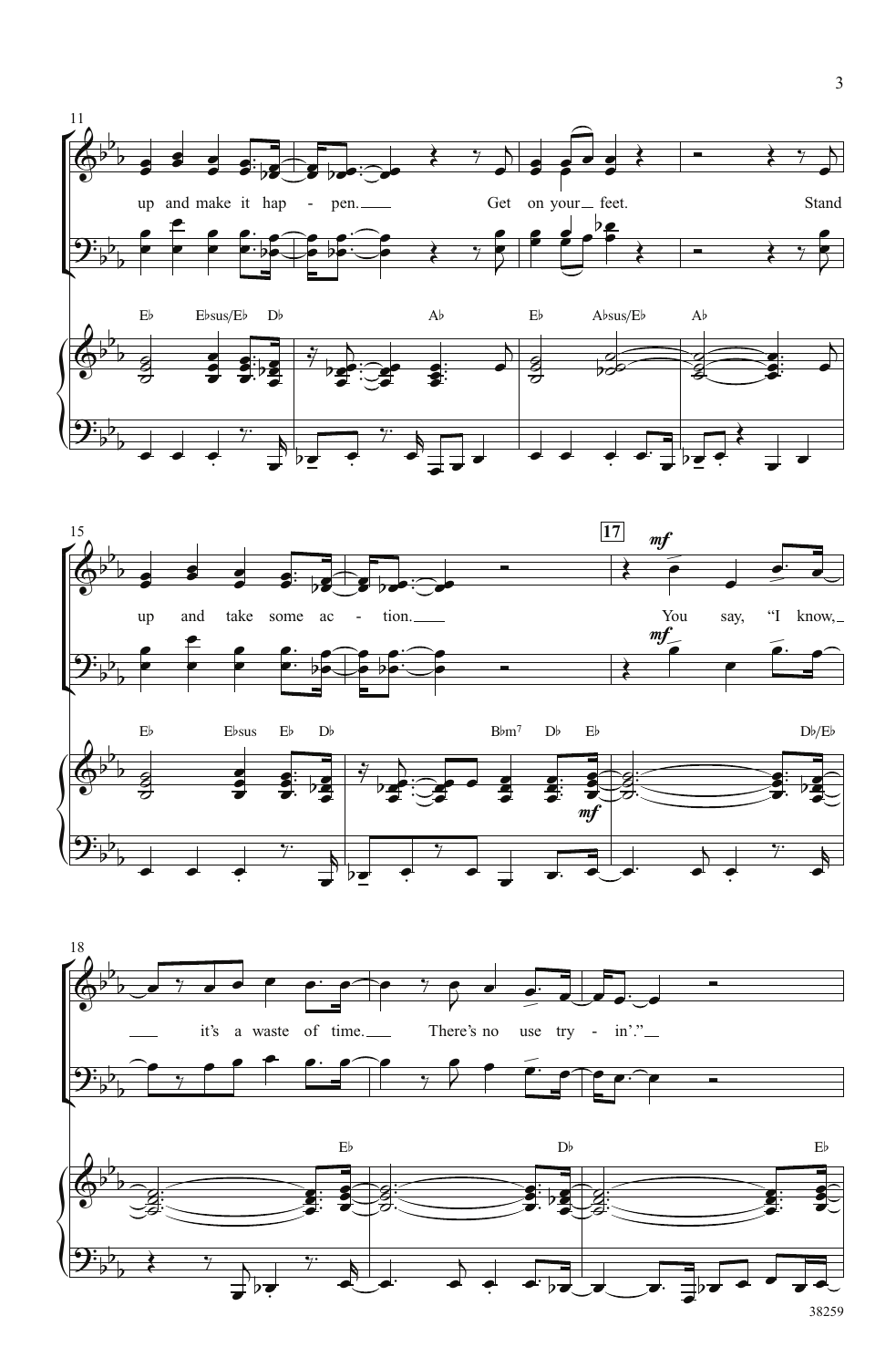





38259